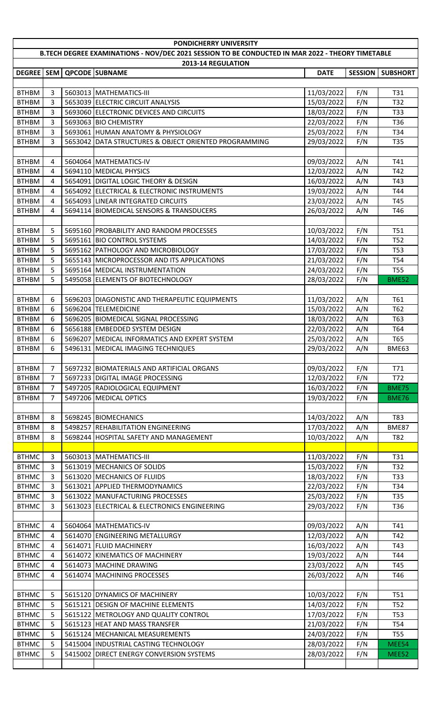| PONDICHERRY UNIVERSITY                                                                           |        |         |                                                             |             |                |                 |  |
|--------------------------------------------------------------------------------------------------|--------|---------|-------------------------------------------------------------|-------------|----------------|-----------------|--|
| B.TECH DEGREE EXAMINATIONS - NOV/DEC 2021 SESSION TO BE CONDUCTED IN MAR 2022 - THEORY TIMETABLE |        |         |                                                             |             |                |                 |  |
|                                                                                                  |        |         | 2013-14 REGULATION                                          |             |                |                 |  |
|                                                                                                  |        |         | DEGREE   SEM   QPCODE   SUBNAME                             | <b>DATE</b> | <b>SESSION</b> | <b>SUBSHORT</b> |  |
|                                                                                                  |        |         |                                                             |             |                |                 |  |
| <b>BTHBM</b>                                                                                     | 3      |         | 5603013 MATHEMATICS-III                                     | 11/03/2022  | F/N            | T31             |  |
| <b>BTHBM</b>                                                                                     | 3      |         | 5653039 ELECTRIC CIRCUIT ANALYSIS                           | 15/03/2022  | F/N            | T32             |  |
| <b>BTHBM</b>                                                                                     | 3<br>3 |         | 5693060 ELECTRONIC DEVICES AND CIRCUITS                     | 18/03/2022  | F/N            | T33<br>T36      |  |
| <b>BTHBM</b>                                                                                     |        |         | 5693063 BIO CHEMISTRY<br>5693061 HUMAN ANATOMY & PHYSIOLOGY | 22/03/2022  | F/N            | T34             |  |
| <b>BTHBM</b><br><b>BTHBM</b>                                                                     | 3<br>3 |         | 5653042 DATA STRUCTURES & OBJECT ORIENTED PROGRAMMING       | 25/03/2022  | F/N            | T35             |  |
|                                                                                                  |        |         |                                                             | 29/03/2022  | F/N            |                 |  |
| <b>BTHBM</b>                                                                                     | 4      |         | 5604064 MATHEMATICS-IV                                      | 09/03/2022  | A/N            | T41             |  |
| <b>BTHBM</b>                                                                                     | 4      |         | 5694110 MEDICAL PHYSICS                                     | 12/03/2022  | A/N            | T42             |  |
| <b>BTHBM</b>                                                                                     | 4      |         | 5654091 DIGITAL LOGIC THEORY & DESIGN                       | 16/03/2022  | A/N            | T43             |  |
| <b>BTHBM</b>                                                                                     | 4      |         | 5654092 ELECTRICAL & ELECTRONIC INSTRUMENTS                 | 19/03/2022  | A/N            | T44             |  |
| <b>BTHBM</b>                                                                                     | 4      |         | 5654093 LINEAR INTEGRATED CIRCUITS                          | 23/03/2022  | A/N            | T45             |  |
| <b>BTHBM</b>                                                                                     | 4      |         | 5694114 BIOMEDICAL SENSORS & TRANSDUCERS                    | 26/03/2022  | A/N            | T46             |  |
|                                                                                                  |        |         |                                                             |             |                |                 |  |
| <b>BTHBM</b>                                                                                     | 5      |         | 5695160 PROBABILITY AND RANDOM PROCESSES                    | 10/03/2022  | F/N            | T51             |  |
| <b>BTHBM</b>                                                                                     | 5      |         | 5695161 BIO CONTROL SYSTEMS                                 | 14/03/2022  | F/N            | <b>T52</b>      |  |
| <b>BTHBM</b>                                                                                     | 5      |         | 5695162 PATHOLOGY AND MICROBIOLOGY                          | 17/03/2022  | F/N            | <b>T53</b>      |  |
| <b>BTHBM</b>                                                                                     | 5      |         | 5655143 MICROPROCESSOR AND ITS APPLICATIONS                 | 21/03/2022  | F/N            | T54             |  |
| <b>BTHBM</b>                                                                                     | 5      |         | 5695164 MEDICAL INSTRUMENTATION                             | 24/03/2022  | F/N            | <b>T55</b>      |  |
| <b>BTHBM</b>                                                                                     | 5      |         | 5495058 ELEMENTS OF BIOTECHNOLOGY                           | 28/03/2022  | F/N            | BME52           |  |
|                                                                                                  |        |         |                                                             |             |                |                 |  |
| <b>BTHBM</b>                                                                                     | 6      |         | 5696203 DIAGONISTIC AND THERAPEUTIC EQUIPMENTS              | 11/03/2022  | A/N            | T61             |  |
| <b>BTHBM</b>                                                                                     | 6      |         | 5696204 TELEMEDICINE                                        | 15/03/2022  | A/N            | T62             |  |
| <b>BTHBM</b>                                                                                     | 6      |         | 5696205 BIOMEDICAL SIGNAL PROCESSING                        | 18/03/2022  | A/N            | T63             |  |
| <b>BTHBM</b>                                                                                     | 6      |         | 5656188 EMBEDDED SYSTEM DESIGN                              | 22/03/2022  | A/N            | T64             |  |
| <b>BTHBM</b>                                                                                     | 6      |         | 5696207 MEDICAL INFORMATICS AND EXPERT SYSTEM               | 25/03/2022  | A/N            | T65             |  |
| <b>BTHBM</b>                                                                                     | 6      |         | 5496131   MEDICAL IMAGING TECHNIQUES                        | 29/03/2022  | A/N            | BME63           |  |
|                                                                                                  |        |         |                                                             |             |                |                 |  |
| <b>BTHBM</b>                                                                                     | 7      |         | 5697232 BIOMATERIALS AND ARTIFICIAL ORGANS                  | 09/03/2022  | F/N            | <b>T71</b>      |  |
| <b>BTHBM</b>                                                                                     | 7      |         | 5697233 DIGITAL IMAGE PROCESSING                            | 12/03/2022  | F/N            | T72             |  |
| <b>BTHBM</b>                                                                                     | 7      |         | 5497205 RADIOLOGICAL EQUIPMENT                              | 16/03/2022  | F/N            | <b>BME75</b>    |  |
| <b>BTHBM</b>                                                                                     | 7      |         | 5497206 MEDICAL OPTICS                                      | 19/03/2022  | F/N            | <b>BME76</b>    |  |
|                                                                                                  |        |         |                                                             |             |                |                 |  |
| <b>BTHBM</b>                                                                                     | 8      |         | 5698245 BIOMECHANICS                                        | 14/03/2022  | A/N            | T83             |  |
| <b>BTHBM</b>                                                                                     | 8      |         | 5498257 REHABILITATION ENGINEERING                          | 17/03/2022  | A/N            | BME87           |  |
| <b>BTHBM</b>                                                                                     | 8      |         | 5698244 HOSPITAL SAFETY AND MANAGEMENT                      | 10/03/2022  | A/N            | T82             |  |
|                                                                                                  |        |         |                                                             |             |                |                 |  |
| <b>BTHMC</b>                                                                                     | 3      |         | 5603013 MATHEMATICS-III                                     | 11/03/2022  | F/N            | T31             |  |
| <b>BTHMC</b>                                                                                     | 3      |         | 5613019 MECHANICS OF SOLIDS                                 | 15/03/2022  | F/N            | T32             |  |
| <b>BTHMC</b>                                                                                     | 3      |         | 5613020 MECHANICS OF FLUIDS                                 | 18/03/2022  | F/N            | T33             |  |
| <b>BTHMC</b>                                                                                     | 3      |         | 5613021 APPLIED THERMODYNAMICS                              | 22/03/2022  | F/N            | T34             |  |
| <b>BTHMC</b>                                                                                     | 3      |         | 5613022 MANUFACTURING PROCESSES                             | 25/03/2022  | F/N            | T35             |  |
| <b>BTHMC</b>                                                                                     | 3      |         | 5613023 ELECTRICAL & ELECTRONICS ENGINEERING                | 29/03/2022  | F/N            | T36             |  |
|                                                                                                  |        |         |                                                             |             |                |                 |  |
| <b>BTHMC</b>                                                                                     | 4      |         | 5604064 MATHEMATICS-IV                                      | 09/03/2022  | A/N            | T41             |  |
| <b>BTHMC</b>                                                                                     | 4      |         | 5614070 ENGINEERING METALLURGY                              | 12/03/2022  | A/N            | T42             |  |
| <b>BTHMC</b>                                                                                     | 4      |         | 5614071 FLUID MACHINERY                                     | 16/03/2022  | A/N            | T43             |  |
| <b>BTHMC</b>                                                                                     | 4      |         | 5614072 KINEMATICS OF MACHINERY                             | 19/03/2022  | A/N            | T44             |  |
| <b>BTHMC</b>                                                                                     | 4      |         | 5614073 MACHINE DRAWING                                     | 23/03/2022  | A/N            | T45             |  |
| <b>BTHMC</b>                                                                                     | 4      |         | 5614074 MACHINING PROCESSES                                 | 26/03/2022  | A/N            | T46             |  |
|                                                                                                  |        |         |                                                             |             |                |                 |  |
| <b>BTHMC</b>                                                                                     | 5      |         | 5615120 DYNAMICS OF MACHINERY                               | 10/03/2022  | F/N            | T51             |  |
| <b>BTHMC</b>                                                                                     | 5      |         | 5615121 DESIGN OF MACHINE ELEMENTS                          | 14/03/2022  | F/N            | T <sub>52</sub> |  |
| <b>BTHMC</b>                                                                                     | 5      |         | 5615122 METROLOGY AND QUALITY CONTROL                       | 17/03/2022  | F/N            | <b>T53</b>      |  |
| <b>BTHMC</b>                                                                                     | 5      |         | 5615123 HEAT AND MASS TRANSFER                              | 21/03/2022  | F/N            | T54             |  |
| <b>BTHMC</b>                                                                                     | 5      |         | 5615124 MECHANICAL MEASUREMENTS                             | 24/03/2022  | F/N            | <b>T55</b>      |  |
| <b>BTHMC</b>                                                                                     | 5      |         | 5415004 INDUSTRIAL CASTING TECHNOLOGY                       | 28/03/2022  | F/N            | MEE54           |  |
| <b>BTHMC</b>                                                                                     | 5      | 5415002 | <b>DIRECT ENERGY CONVERSION SYSTEMS</b>                     | 28/03/2022  | F/N            | MEE52           |  |
|                                                                                                  |        |         |                                                             |             |                |                 |  |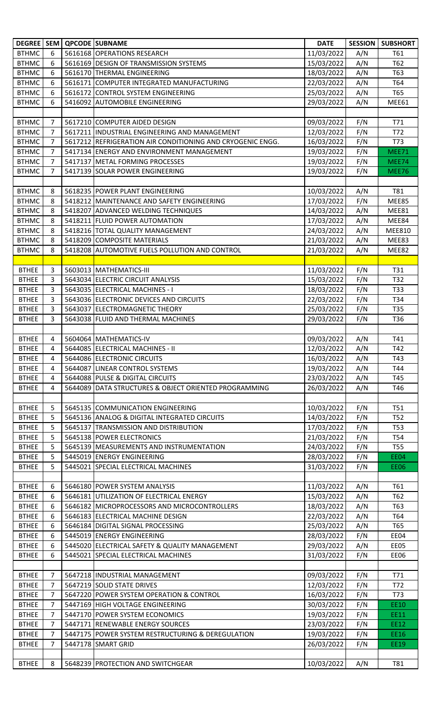|              |                | DEGREE   SEM   QPCODE   SUBNAME                            | <b>DATE</b> |     | <b>SESSION   SUBSHORT</b> |
|--------------|----------------|------------------------------------------------------------|-------------|-----|---------------------------|
| <b>BTHMC</b> | 6              | 5616168 OPERATIONS RESEARCH                                | 11/03/2022  | A/N | T61                       |
| <b>BTHMC</b> | 6              | 5616169 DESIGN OF TRANSMISSION SYSTEMS                     | 15/03/2022  | A/N | T62                       |
| <b>BTHMC</b> | 6              | 5616170 THERMAL ENGINEERING                                | 18/03/2022  | A/N | T63                       |
| <b>BTHMC</b> | 6              | 5616171 COMPUTER INTEGRATED MANUFACTURING                  | 22/03/2022  | A/N | T64                       |
| <b>BTHMC</b> | 6              | 5616172 CONTROL SYSTEM ENGINEERING                         | 25/03/2022  | A/N | T65                       |
| <b>BTHMC</b> | 6              | 5416092 AUTOMOBILE ENGINEERING                             | 29/03/2022  | A/N | MEE61                     |
|              |                |                                                            |             |     |                           |
| <b>BTHMC</b> | $\overline{7}$ | 5617210 COMPUTER AIDED DESIGN                              | 09/03/2022  | F/N | T71                       |
| <b>BTHMC</b> | 7              | 5617211 INDUSTRIAL ENGINEERING AND MANAGEMENT              | 12/03/2022  | F/N | T72                       |
| <b>BTHMC</b> | 7              | 5617212 REFRIGERATION AIR CONDITIONING AND CRYOGENIC ENGG. | 16/03/2022  | F/N | T73                       |
| <b>BTHMC</b> | 7              | 5417134 ENERGY AND ENVIRONMENT MANAGEMENT                  | 19/03/2022  | F/N | MEE71                     |
| <b>BTHMC</b> | 7              | 5417137 METAL FORMING PROCESSES                            | 19/03/2022  | F/N | MEE74                     |
| <b>BTHMC</b> | 7              | 5417139 SOLAR POWER ENGINEERING                            | 19/03/2022  | F/N | <b>MEE76</b>              |
|              |                |                                                            |             |     |                           |
| <b>BTHMC</b> | 8              | 5618235 POWER PLANT ENGINEERING                            | 10/03/2022  | A/N | T81                       |
| <b>BTHMC</b> | 8              | 5418212 MAINTENANCE AND SAFETY ENGINEERING                 | 17/03/2022  | F/N | MEE85                     |
| <b>BTHMC</b> | 8              | 5418207 ADVANCED WELDING TECHNIQUES                        | 14/03/2022  | A/N | MEE81                     |
| <b>BTHMC</b> | 8              | 5418211 FLUID POWER AUTOMATION                             | 17/03/2022  | A/N | MEE84                     |
| <b>BTHMC</b> | 8              | 5418216 TOTAL QUALITY MANAGEMENT                           | 24/03/2022  | A/N | <b>MEE810</b>             |
| <b>BTHMC</b> | 8              | 5418209 COMPOSITE MATERIALS                                | 21/03/2022  | A/N | MEE83                     |
| <b>BTHMC</b> | 8              | 5418208 AUTOMOTIVE FUELS POLLUTION AND CONTROL             | 21/03/2022  | A/N | MEE82                     |
|              |                |                                                            |             |     |                           |
| <b>BTHEE</b> | 3              | 5603013 MATHEMATICS-III                                    | 11/03/2022  | F/N | T31                       |
| <b>BTHEE</b> | 3              | 5643034 ELECTRIC CIRCUIT ANALYSIS                          | 15/03/2022  | F/N | T32                       |
| <b>BTHEE</b> | 3              | 5643035 ELECTRICAL MACHINES - I                            | 18/03/2022  | F/N | T33                       |
| <b>BTHEE</b> | 3              | 5643036 ELECTRONIC DEVICES AND CIRCUITS                    | 22/03/2022  | F/N | T34                       |
| <b>BTHEE</b> | 3              | 5643037 ELECTROMAGNETIC THEORY                             | 25/03/2022  | F/N | T35                       |
| <b>BTHEE</b> | 3              | 5643038 FLUID AND THERMAL MACHINES                         | 29/03/2022  | F/N | T36                       |
|              |                |                                                            |             |     |                           |
| <b>BTHEE</b> | 4              | 5604064 MATHEMATICS-IV                                     | 09/03/2022  | A/N | T41                       |
| <b>BTHEE</b> | 4              | 5644085 ELECTRICAL MACHINES - II                           | 12/03/2022  | A/N | T42                       |
| <b>BTHEE</b> | 4              | 5644086 ELECTRONIC CIRCUITS                                | 16/03/2022  | A/N | T43                       |
| <b>BTHEE</b> | 4              | 5644087 LINEAR CONTROL SYSTEMS                             | 19/03/2022  | A/N | T44                       |
| <b>BTHEE</b> | 4              | 5644088 PULSE & DIGITAL CIRCUITS                           | 23/03/2022  | A/N | T45                       |
| <b>BTHEE</b> | 4              | 5644089 DATA STRUCTURES & OBJECT ORIENTED PROGRAMMING      | 26/03/2022  | A/N | T46                       |
|              |                |                                                            |             |     |                           |
| <b>BTHEE</b> | 5              | 5645135 COMMUNICATION ENGINEERING                          | 10/03/2022  | F/N | <b>T51</b>                |
| <b>BTHEE</b> | 5              | 5645136 ANALOG & DIGITAL INTEGRATED CIRCUITS               | 14/03/2022  | F/N | <b>T52</b>                |
| <b>BTHEE</b> | 5              | 5645137 TRANSMISSION AND DISTRIBUTION                      | 17/03/2022  | F/N | <b>T53</b>                |
| <b>BTHEE</b> | 5              | 5645138 POWER ELECTRONICS                                  | 21/03/2022  | F/N | T54                       |
| <b>BTHEE</b> | 5              | 5645139 MEASUREMENTS AND INSTRUMENTATION                   | 24/03/2022  | F/N | <b>T55</b>                |
| <b>BTHEE</b> | 5              | 5445019 ENERGY ENGINEERING                                 | 28/03/2022  | F/N | <b>EE04</b>               |
| <b>BTHEE</b> | 5              | 5445021 SPECIAL ELECTRICAL MACHINES                        | 31/03/2022  | F/N | EE06                      |
|              |                |                                                            |             |     |                           |
| <b>BTHEE</b> | 6              | 5646180 POWER SYSTEM ANALYSIS                              | 11/03/2022  | A/N | T61                       |
| <b>BTHEE</b> | 6              | 5646181 UTILIZATION OF ELECTRICAL ENERGY                   | 15/03/2022  | A/N | T62                       |
| <b>BTHEE</b> | 6              | 5646182 MICROPROCESSORS AND MICROCONTROLLERS               | 18/03/2022  | A/N | T63                       |
| <b>BTHEE</b> | 6              | 5646183 ELECTRICAL MACHINE DESIGN                          | 22/03/2022  | A/N | T64                       |
| <b>BTHEE</b> | 6              | 5646184 DIGITAL SIGNAL PROCESSING                          | 25/03/2022  | A/N | T65                       |
| <b>BTHEE</b> | 6              | 5445019 ENERGY ENGINEERING                                 | 28/03/2022  | F/N | EE04                      |
| <b>BTHEE</b> | 6              | 5445020 ELECTRICAL SAFETY & QUALITY MANAGEMENT             | 29/03/2022  | A/N | EE05                      |
| <b>BTHEE</b> | 6              | 5445021 SPECIAL ELECTRICAL MACHINES                        | 31/03/2022  | F/N | <b>EE06</b>               |
|              |                |                                                            |             |     |                           |
| <b>BTHEE</b> | 7              | 5647218 INDUSTRIAL MANAGEMENT                              | 09/03/2022  | F/N | T71                       |
| <b>BTHEE</b> | 7              | 5647219 SOLID STATE DRIVES                                 | 12/03/2022  | F/N | T72                       |
| <b>BTHEE</b> | 7              | 5647220 POWER SYSTEM OPERATION & CONTROL                   | 16/03/2022  | F/N | T73                       |
| <b>BTHEE</b> | 7              | 5447169 HIGH VOLTAGE ENGINEERING                           | 30/03/2022  | F/N | EE10                      |
| <b>BTHEE</b> | 7              | 5447170 POWER SYSTEM ECONOMICS                             | 19/03/2022  | F/N | EE11                      |
| <b>BTHEE</b> | 7              | 5447171 RENEWABLE ENERGY SOURCES                           | 23/03/2022  | F/N | EE12                      |
| <b>BTHEE</b> | 7              | 5447175 POWER SYSTEM RESTRUCTURING & DEREGULATION          | 19/03/2022  | F/N | EE16                      |
| <b>BTHEE</b> | 7              | 5447178 SMART GRID                                         | 26/03/2022  | F/N | EE19                      |
|              |                |                                                            |             |     |                           |
| <b>BTHEE</b> | 8              | 5648239 PROTECTION AND SWITCHGEAR                          | 10/03/2022  | A/N | T81                       |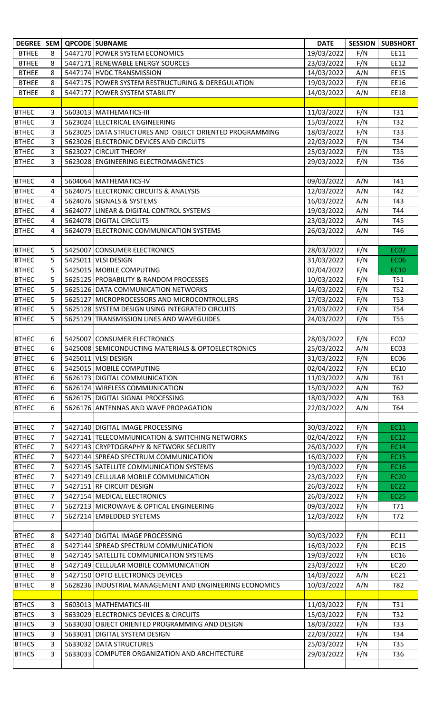|              |                | DEGREE   SEM   QPCODE   SUBNAME                         | <b>DATE</b> | <b>SESSION</b> | <b>SUBSHORT</b>  |
|--------------|----------------|---------------------------------------------------------|-------------|----------------|------------------|
| <b>BTHEE</b> | 8              | 5447170 POWER SYSTEM ECONOMICS                          | 19/03/2022  | F/N            | EE11             |
| <b>BTHEE</b> | 8              | 5447171 RENEWABLE ENERGY SOURCES                        | 23/03/2022  | F/N            | EE12             |
| <b>BTHEE</b> | 8              | 5447174 HVDC TRANSMISSION                               | 14/03/2022  | A/N            | EE15             |
| <b>BTHEE</b> | 8              | 5447175 POWER SYSTEM RESTRUCTURING & DEREGULATION       | 19/03/2022  | F/N            | EE16             |
| <b>BTHEE</b> | 8              | 5447177 POWER SYSTEM STABILITY                          | 14/03/2022  | A/N            | EE18             |
|              |                |                                                         |             |                |                  |
| <b>BTHEC</b> | 3              | 5603013 MATHEMATICS-III                                 | 11/03/2022  | F/N            | T31              |
| <b>BTHEC</b> | 3              | 5623024 ELECTRICAL ENGINEERING                          | 15/03/2022  | F/N            | T32              |
| <b>BTHEC</b> | 3              | 5623025 DATA STRUCTURES AND OBJECT ORIENTED PROGRAMMING | 18/03/2022  | F/N            | T33              |
| <b>BTHEC</b> | 3              | 5623026 ELECTRONIC DEVICES AND CIRCUITS                 | 22/03/2022  | F/N            | T34              |
| <b>BTHEC</b> | 3              | 5623027 CIRCUIT THEORY                                  | 25/03/2022  | F/N            | T35              |
| <b>BTHEC</b> | 3              | 5623028 ENGINEERING ELECTROMAGNETICS                    | 29/03/2022  | F/N            | T36              |
|              |                |                                                         |             |                |                  |
| <b>BTHEC</b> | 4              | 5604064 MATHEMATICS-IV                                  | 09/03/2022  | A/N            | T41              |
| <b>BTHEC</b> | 4              | 5624075 ELECTRONIC CIRCUITS & ANALYSIS                  | 12/03/2022  | A/N            | T42              |
| <b>BTHEC</b> | 4              | 5624076 SIGNALS & SYSTEMS                               | 16/03/2022  | A/N            | T43              |
| <b>BTHEC</b> | 4              | 5624077 LINEAR & DIGITAL CONTROL SYSTEMS                | 19/03/2022  | A/N            | T44              |
| <b>BTHEC</b> | 4              | 5624078 DIGITAL CIRCUITS                                | 23/03/2022  | A/N            | T45              |
| <b>BTHEC</b> | 4              | 5624079 ELECTRONIC COMMUNICATION SYSTEMS                | 26/03/2022  | A/N            | T46              |
|              |                |                                                         |             |                |                  |
| <b>BTHEC</b> | 5              | 5425007 CONSUMER ELECTRONICS                            | 28/03/2022  | F/N            | <b>EC02</b>      |
| <b>BTHEC</b> | 5              | 5425011 VLSI DESIGN                                     | 31/03/2022  | F/N            | <b>EC06</b>      |
| <b>BTHEC</b> | 5              | 5425015 MOBILE COMPUTING                                | 02/04/2022  | F/N            | <b>EC10</b>      |
| <b>BTHEC</b> | 5              | 5625125 PROBABILITY & RANDOM PROCESSES                  | 10/03/2022  | F/N            | T51              |
| <b>BTHEC</b> | 5              | 5625126 DATA COMMUNICATION NETWORKS                     | 14/03/2022  | F/N            | T52              |
| <b>BTHEC</b> | 5              | 5625127 MICROPROCESSORS AND MICROCONTROLLERS            | 17/03/2022  | F/N            | <b>T53</b>       |
| <b>BTHEC</b> | 5              | 5625128 SYSTEM DESIGN USING INTEGRATED CIRCUITS         | 21/03/2022  | F/N            | T54              |
| <b>BTHEC</b> | 5              | 5625129 TRANSMISSION LINES AND WAVEGUIDES               | 24/03/2022  | F/N            | <b>T55</b>       |
|              |                |                                                         |             |                |                  |
| <b>BTHEC</b> | 6              | 5425007 CONSUMER ELECTRONICS                            | 28/03/2022  | F/N            | EC <sub>02</sub> |
| <b>BTHEC</b> | 6              | 5425008 SEMICONDUCTING MATERIALS & OPTOELECTRONICS      | 25/03/2022  | A/N            | EC03             |
| <b>BTHEC</b> | 6              | 5425011 VLSI DESIGN                                     | 31/03/2022  | F/N            | <b>EC06</b>      |
| <b>BTHEC</b> | 6              | 5425015 MOBILE COMPUTING                                | 02/04/2022  | F/N            | EC10             |
| <b>BTHEC</b> | 6              | 5626173 DIGITAL COMMUNICATION                           | 11/03/2022  | A/N            | T61              |
| <b>BTHEC</b> | 6              | 5626174 WIRELESS COMMUNICATION                          | 15/03/2022  | A/N            | T62              |
| <b>BTHEC</b> | 6              | 5626175 DIGITAL SIGNAL PROCESSING                       | 18/03/2022  | A/N            | T63              |
| <b>BTHEC</b> | 6              | 5626176 ANTENNAS AND WAVE PROPAGATION                   | 22/03/2022  | A/N            | T64              |
|              |                |                                                         |             |                |                  |
| <b>BTHEC</b> | 7              | 5427140 DIGITAL IMAGE PROCESSING                        | 30/03/2022  | F/N            | <b>EC11</b>      |
| <b>BTHEC</b> | 7              | 5427141 TELECOMMUNICATION & SWITCHING NETWORKS          | 02/04/2022  | F/N            | EC12             |
| <b>BTHEC</b> | 7              | 5427143 CRYPTOGRAPHY & NETWORK SECURITY                 | 26/03/2022  | F/N            | <b>EC14</b>      |
| <b>BTHEC</b> | $\overline{7}$ | 5427144 SPREAD SPECTRUM COMMUNICATION                   | 16/03/2022  | F/N            | <b>EC15</b>      |
| <b>BTHEC</b> | 7              | 5427145 SATELLITE COMMUNICATION SYSTEMS                 | 19/03/2022  | F/N            | EC16             |
| <b>BTHEC</b> | 7              | 5427149 CELLULAR MOBILE COMMUNICATION                   | 23/03/2022  | F/N            | <b>EC20</b>      |
| <b>BTHEC</b> | $\overline{7}$ | 5427151 RF CIRCUIT DESIGN                               | 26/03/2022  | F/N            | <b>EC22</b>      |
| <b>BTHEC</b> | 7              | 5427154 MEDICAL ELECTRONICS                             | 26/03/2022  | F/N            | <b>EC25</b>      |
| <b>BTHEC</b> | 7              | 5627213 MICROWAVE & OPTICAL ENGINEERING                 | 09/03/2022  | F/N            | T71              |
| <b>BTHEC</b> | $\overline{7}$ | 5627214 EMBEDDED SYETEMS                                | 12/03/2022  | F/N            | T72              |
|              |                |                                                         |             |                |                  |
| <b>BTHEC</b> | 8              | 5427140 DIGITAL IMAGE PROCESSING                        | 30/03/2022  | F/N            | EC11             |
| <b>BTHEC</b> | 8              | 5427144 SPREAD SPECTRUM COMMUNICATION                   | 16/03/2022  | F/N            | EC15             |
| <b>BTHEC</b> | 8              | 5427145 SATELLITE COMMUNICATION SYSTEMS                 | 19/03/2022  | F/N            | EC16             |
| <b>BTHEC</b> | 8              | 5427149 CELLULAR MOBILE COMMUNICATION                   | 23/03/2022  | F/N            | <b>EC20</b>      |
| <b>BTHEC</b> | 8              | 5427150 OPTO ELECTRONICS DEVICES                        | 14/03/2022  | A/N            | EC21             |
| <b>BTHEC</b> | 8              | 5628236 INDUSTRIAL MANAGEMENT AND ENGINEERING ECONOMICS | 10/03/2022  | A/N            | T82              |
|              |                |                                                         |             |                |                  |
| <b>BTHCS</b> | 3              | 5603013 MATHEMATICS-III                                 | 11/03/2022  | F/N            | T31              |
| <b>BTHCS</b> | 3              | 5633029 ELECTRONICS DEVICES & CIRCUITS                  | 15/03/2022  | F/N            | T32              |
| <b>BTHCS</b> | 3              | 5633030 OBJECT ORIENTED PROGRAMMING AND DESIGN          | 18/03/2022  | F/N            | T33              |
| <b>BTHCS</b> | 3              | 5633031 DIGITAL SYSTEM DESIGN                           | 22/03/2022  | F/N            | T34              |
| <b>BTHCS</b> | 3              | 5633032 DATA STRUCTURES                                 | 25/03/2022  | F/N            | T35              |
| <b>BTHCS</b> | 3              | 5633033 COMPUTER ORGANIZATION AND ARCHITECTURE          | 29/03/2022  | F/N            | T36              |
|              |                |                                                         |             |                |                  |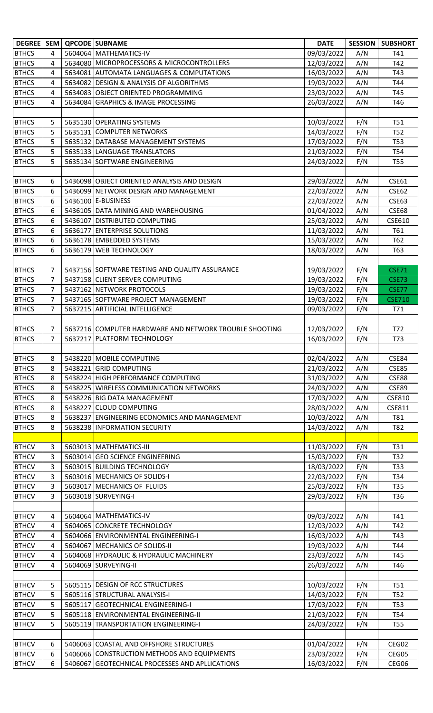| DEGREE   SEM |                |         | <b>QPCODE SUBNAME</b>                                  | <b>DATE</b> | <b>SESSION</b> | <b>SUBSHORT</b> |
|--------------|----------------|---------|--------------------------------------------------------|-------------|----------------|-----------------|
| <b>BTHCS</b> | 4              |         | 5604064 MATHEMATICS-IV                                 | 09/03/2022  | A/N            | T41             |
| <b>BTHCS</b> | 4              |         | 5634080 MICROPROCESSORS & MICROCONTROLLERS             | 12/03/2022  | A/N            | T42             |
| <b>BTHCS</b> | 4              |         | 5634081 AUTOMATA LANGUAGES & COMPUTATIONS              | 16/03/2022  | A/N            | T43             |
| <b>BTHCS</b> | 4              |         | 5634082 DESIGN & ANALYSIS OF ALGORITHMS                | 19/03/2022  | A/N            | T44             |
| <b>BTHCS</b> | 4              |         | 5634083 OBJECT ORIENTED PROGRAMMING                    | 23/03/2022  | A/N            | T45             |
| <b>BTHCS</b> | 4              |         | 5634084 GRAPHICS & IMAGE PROCESSING                    | 26/03/2022  | A/N            | T46             |
|              |                |         |                                                        |             |                |                 |
| <b>BTHCS</b> | 5              |         | 5635130 OPERATING SYSTEMS                              | 10/03/2022  | F/N            | T51             |
| <b>BTHCS</b> | 5              |         | 5635131 COMPUTER NETWORKS                              | 14/03/2022  | F/N            | T52             |
| <b>BTHCS</b> | 5              |         | 5635132 DATABASE MANAGEMENT SYSTEMS                    | 17/03/2022  | F/N            | <b>T53</b>      |
| <b>BTHCS</b> | 5              |         | 5635133 LANGUAGE TRANSLATORS                           | 21/03/2022  | F/N            | T54             |
| <b>BTHCS</b> | 5              |         | 5635134 SOFTWARE ENGINEERING                           | 24/03/2022  | F/N            | T55             |
|              |                |         |                                                        |             |                |                 |
| <b>BTHCS</b> | 6              |         | 5436098 OBJECT ORIENTED ANALYSIS AND DESIGN            | 29/03/2022  | A/N            | <b>CSE61</b>    |
| <b>BTHCS</b> | 6              |         | 5436099 NETWORK DESIGN AND MANAGEMENT                  | 22/03/2022  | A/N            | CSE62           |
| <b>BTHCS</b> | 6              |         | 5436100 E-BUSINESS                                     | 22/03/2022  | A/N            | CSE63           |
| <b>BTHCS</b> | 6              |         | 5436105 DATA MINING AND WAREHOUSING                    | 01/04/2022  | A/N            | <b>CSE68</b>    |
| <b>BTHCS</b> | 6              |         | 5436107 DISTRIBUTED COMPUTING                          | 25/03/2022  | A/N            | CSE610          |
| <b>BTHCS</b> | 6              | 5636177 | <b>ENTERPRISE SOLUTIONS</b>                            | 11/03/2022  | A/N            | T61             |
| <b>BTHCS</b> | 6              |         | 5636178 EMBEDDED SYSTEMS                               | 15/03/2022  | A/N            | T62             |
| <b>BTHCS</b> | 6              |         | 5636179 WEB TECHNOLOGY                                 | 18/03/2022  | A/N            | T63             |
|              |                |         |                                                        |             |                |                 |
| <b>BTHCS</b> | 7              |         | 5437156 SOFTWARE TESTING AND QUALITY ASSURANCE         | 19/03/2022  | F/N            | <b>CSE71</b>    |
| <b>BTHCS</b> | 7              |         | 5437158 CLIENT SERVER COMPUTING                        | 19/03/2022  | F/N            | <b>CSE73</b>    |
| <b>BTHCS</b> | 7              |         | 5437162 NETWORK PROTOCOLS                              | 19/03/2022  | F/N            | <b>CSE77</b>    |
| <b>BTHCS</b> | $\overline{7}$ |         | 5437165 SOFTWARE PROJECT MANAGEMENT                    | 19/03/2022  | F/N            | <b>CSE710</b>   |
| <b>BTHCS</b> | $\overline{7}$ |         | 5637215 ARTIFICIAL INTELLIGENCE                        | 09/03/2022  | F/N            | T71             |
|              |                |         |                                                        |             |                |                 |
| <b>BTHCS</b> | 7              |         | 5637216 COMPUTER HARDWARE AND NETWORK TROUBLE SHOOTING | 12/03/2022  | F/N            | T72             |
| <b>BTHCS</b> | $\overline{7}$ | 5637217 | <b>PLATFORM TECHNOLOGY</b>                             | 16/03/2022  | F/N            | T73             |
|              |                |         |                                                        |             |                |                 |
| <b>BTHCS</b> | 8              |         | 5438220 MOBILE COMPUTING                               | 02/04/2022  | A/N            | CSE84           |
| <b>BTHCS</b> | 8              |         | 5438221 GRID COMPUTING                                 | 21/03/2022  | A/N            | <b>CSE85</b>    |
| <b>BTHCS</b> | 8              |         | 5438224 HIGH PERFORMANCE COMPUTING                     | 31/03/2022  | A/N            | CSE88           |
| <b>BTHCS</b> | 8              |         | 5438225 WIRELESS COMMUNICATION NETWORKS                | 24/03/2022  | A/N            | <b>CSE89</b>    |
| <b>BTHCS</b> | 8              |         | 5438226 BIG DATA MANAGEMENT                            | 17/03/2022  | A/N            | <b>CSE810</b>   |
| <b>BTHCS</b> | 8              | 5438227 | <b>CLOUD COMPUTING</b>                                 | 28/03/2022  | A/N            | CSE811          |
| <b>BTHCS</b> | 8              | 5638237 | <b>ENGINEERING ECONOMICS AND MANAGEMENT</b>            | 10/03/2022  | A/N            | T81             |
| <b>BTHCS</b> | 8              |         | 5638238 INFORMATION SECURITY                           | 14/03/2022  | A/N            | T82             |
|              |                |         |                                                        |             |                |                 |
| <b>BTHCV</b> | 3              |         | 5603013 MATHEMATICS-III                                | 11/03/2022  | F/N            | T31             |
| <b>BTHCV</b> | 3              |         | 5603014 GEO SCIENCE ENGINEERING                        | 15/03/2022  | F/N            | T32             |
| <b>BTHCV</b> | 3              |         | 5603015 BUILDING TECHNOLOGY                            | 18/03/2022  | F/N            | T33             |
| <b>BTHCV</b> | 3              |         | 5603016 MECHANICS OF SOLIDS-I                          | 22/03/2022  | F/N            | T34             |
| <b>BTHCV</b> | 3              |         | 5603017 MECHANICS OF FLUIDS                            | 25/03/2022  | F/N            | T35             |
| <b>BTHCV</b> | 3              |         | 5603018 SURVEYING-I                                    | 29/03/2022  | F/N            | T36             |
|              |                |         |                                                        |             |                |                 |
| <b>BTHCV</b> | 4              |         | 5604064 MATHEMATICS-IV                                 | 09/03/2022  | A/N            | T41             |
| <b>BTHCV</b> | 4              |         | 5604065 CONCRETE TECHNOLOGY                            | 12/03/2022  | A/N            | T42             |
| <b>BTHCV</b> | 4              |         | 5604066 ENVIRONMENTAL ENGINEERING-I                    | 16/03/2022  | A/N            | T43             |
| <b>BTHCV</b> | 4              |         | 5604067 MECHANICS OF SOLIDS-II                         | 19/03/2022  | A/N            | T44             |
| <b>BTHCV</b> | 4              |         | 5604068 HYDRAULIC & HYDRAULIC MACHINERY                | 23/03/2022  | A/N            | T45             |
| <b>BTHCV</b> | 4              |         | 5604069 SURVEYING-II                                   | 26/03/2022  | A/N            | T46             |
|              |                |         |                                                        |             |                |                 |
| <b>BTHCV</b> | 5              |         | 5605115 DESIGN OF RCC STRUCTURES                       | 10/03/2022  | F/N            | <b>T51</b>      |
| <b>BTHCV</b> | 5              |         | 5605116 STRUCTURAL ANALYSIS-I                          | 14/03/2022  | F/N            | T52             |
| <b>BTHCV</b> | 5              |         | 5605117 GEOTECHNICAL ENGINEERING-I                     | 17/03/2022  | F/N            | <b>T53</b>      |
| <b>BTHCV</b> | 5              |         | 5605118 ENVIRONMENTAL ENGINEERING-II                   | 21/03/2022  | F/N            | T54             |
| <b>BTHCV</b> | 5              |         | 5605119 TRANSPORTATION ENGINEERING-I                   | 24/03/2022  | F/N            | <b>T55</b>      |
|              |                |         |                                                        |             |                |                 |
| <b>BTHCV</b> | 6              |         | 5406063 COASTAL AND OFFSHORE STRUCTURES                | 01/04/2022  | F/N            | CEG02           |
| <b>BTHCV</b> | 6              |         | 5406066 CONSTRUCTION METHODS AND EQUIPMENTS            | 23/03/2022  | F/N            | CEG05           |
| <b>BTHCV</b> | 6              |         | 5406067 GEOTECHNICAL PROCESSES AND APLLICATIONS        | 16/03/2022  | F/N            | CEG06           |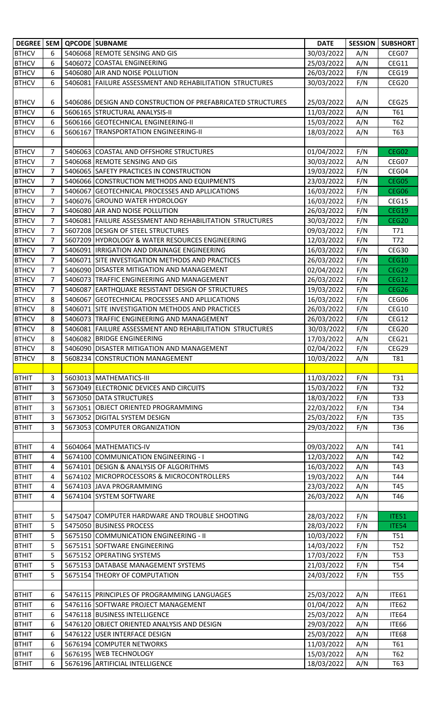| DEGREE   SEM                 |                |         | <b>QPCODE SUBNAME</b>                                                                          | <b>DATE</b>              | <b>SESSION</b> | <b>SUBSHORT</b>       |
|------------------------------|----------------|---------|------------------------------------------------------------------------------------------------|--------------------------|----------------|-----------------------|
| <b>BTHCV</b>                 | 6              |         | 5406068 REMOTE SENSING AND GIS                                                                 | 30/03/2022               | A/N            | CEG07                 |
| <b>BTHCV</b>                 | 6              |         | 5406072 COASTAL ENGINEERING                                                                    | 25/03/2022               | A/N            | CEG11                 |
| <b>BTHCV</b>                 | 6              |         | 5406080 AIR AND NOISE POLLUTION                                                                | 26/03/2022               | F/N            | CEG19                 |
| <b>BTHCV</b>                 | 6              |         | 5406081 FAILURE ASSESSMENT AND REHABILITATION STRUCTURES                                       | 30/03/2022               | F/N            | CEG20                 |
|                              |                |         |                                                                                                |                          |                |                       |
| <b>BTHCV</b>                 | 6              |         | 5406086 DESIGN AND CONSTRUCTION OF PREFABRICATED STRUCTURES                                    | 25/03/2022               | A/N            | CEG25                 |
| <b>BTHCV</b>                 | 6              |         | 5606165 STRUCTURAL ANALYSIS-II                                                                 | 11/03/2022               | A/N            | T61                   |
| <b>BTHCV</b>                 | 6              |         | 5606166 GEOTECHNICAL ENGINEERING-II                                                            | 15/03/2022               | A/N            | T62                   |
| <b>BTHCV</b>                 | 6              | 5606167 | <b>TRANSPORTATION ENGINEERING-II</b>                                                           | 18/03/2022               | A/N            | T63                   |
|                              |                |         |                                                                                                |                          |                |                       |
| <b>BTHCV</b>                 | 7              |         | 5406063 COASTAL AND OFFSHORE STRUCTURES                                                        | 01/04/2022               | F/N            | CEG02                 |
| <b>BTHCV</b>                 | 7              |         | 5406068 REMOTE SENSING AND GIS                                                                 | 30/03/2022               | A/N            | CEG07                 |
| <b>BTHCV</b>                 | 7              |         | 5406065 SAFETY PRACTICES IN CONSTRUCTION                                                       | 19/03/2022               | F/N            | CEG04                 |
| <b>BTHCV</b>                 | 7              |         | 5406066 CONSTRUCTION METHODS AND EQUIPMENTS                                                    | 23/03/2022               | F/N            | CEG05                 |
| <b>BTHCV</b>                 | 7              |         | 5406067 GEOTECHNICAL PROCESSES AND APLLICATIONS                                                | 16/03/2022               | F/N            | CEG06                 |
| <b>BTHCV</b>                 | 7              |         | 5406076 GROUND WATER HYDROLOGY                                                                 | 16/03/2022               | F/N            | CEG15                 |
| <b>BTHCV</b><br><b>BTHCV</b> | 7<br>7         |         | 5406080 AIR AND NOISE POLLUTION                                                                | 26/03/2022<br>30/03/2022 | F/N<br>F/N     | <b>CEG19</b><br>CEG20 |
| <b>BTHCV</b>                 | 7              |         | 5406081 FAILURE ASSESSMENT AND REHABILITATION STRUCTURES<br>5607208 DESIGN OF STEEL STRUCTURES |                          |                |                       |
| <b>BTHCV</b>                 | $\overline{7}$ |         | 5607209 HYDROLOGY & WATER RESOURCES ENGINEERING                                                | 09/03/2022<br>12/03/2022 | F/N<br>F/N     | T71<br>T72            |
| <b>BTHCV</b>                 | 7              |         | 5406091  IRRIGATION AND DRAINAGE ENGINEERING                                                   | 16/03/2022               | F/N            | CEG30                 |
| <b>BTHCV</b>                 | 7              | 5406071 | SITE INVESTIGATION METHODS AND PRACTICES                                                       | 26/03/2022               | F/N            | <b>CEG10</b>          |
| <b>BTHCV</b>                 | $\overline{7}$ |         | 5406090 DISASTER MITIGATION AND MANAGEMENT                                                     | 02/04/2022               | F/N            | CEG29                 |
| <b>BTHCV</b>                 | 7              |         | 5406073 TRAFFIC ENGINEERING AND MANAGEMENT                                                     | 26/03/2022               | F/N            | CEG12                 |
| <b>BTHCV</b>                 | 7              | 5406087 | <b>EARTHQUAKE RESISTANT DESIGN OF STRUCTURES</b>                                               | 19/03/2022               | F/N            | CEG26                 |
| <b>BTHCV</b>                 | 8              | 5406067 | <b>GEOTECHNICAL PROCESSES AND APLLICATIONS</b>                                                 | 16/03/2022               | F/N            | CEG06                 |
| <b>BTHCV</b>                 | 8              | 5406071 | SITE INVESTIGATION METHODS AND PRACTICES                                                       | 26/03/2022               | F/N            | CEG10                 |
| <b>BTHCV</b>                 | 8              |         | 5406073 TRAFFIC ENGINEERING AND MANAGEMENT                                                     | 26/03/2022               | F/N            | CEG12                 |
| <b>BTHCV</b>                 | 8              |         | 5406081 FAILURE ASSESSMENT AND REHABILITATION STRUCTURES                                       | 30/03/2022               | F/N            | CEG20                 |
| <b>BTHCV</b>                 | 8              | 5406082 | <b>BRIDGE ENGINEERING</b>                                                                      | 17/03/2022               | A/N            | CEG21                 |
| <b>BTHCV</b>                 | 8              |         | 5406090 DISASTER MITIGATION AND MANAGEMENT                                                     | 02/04/2022               | F/N            | CEG29                 |
| <b>BTHCV</b>                 | 8              |         | 5608234 CONSTRUCTION MANAGEMENT                                                                | 10/03/2022               | A/N            | T81                   |
|                              |                |         |                                                                                                |                          |                |                       |
| <b>BTHIT</b>                 | 3              |         | 5603013 MATHEMATICS-III                                                                        | 11/03/2022               | F/N            | T31                   |
| <b>BTHIT</b>                 | 3              |         | 5673049 ELECTRONIC DEVICES AND CIRCUITS                                                        | 15/03/2022               | F/N            | T32                   |
| <b>BTHIT</b>                 | 3              |         | 5673050 DATA STRUCTURES                                                                        | 18/03/2022               | F/N            | T33                   |
| <b>BTHIT</b>                 | 3              |         | 5673051 OBJECT ORIENTED PROGRAMMING                                                            | 22/03/2022               | F/N            | T34                   |
| <b>BTHIT</b>                 | 3              |         | 5673052 DIGITAL SYSTEM DESIGN                                                                  | 25/03/2022               | F/N            | T35                   |
| <b>BTHIT</b>                 | 3              |         | 5673053 COMPUTER ORGANIZATION                                                                  | 29/03/2022               | F/N            | T36                   |
| <b>BTHIT</b>                 |                |         | 5604064 MATHEMATICS-IV                                                                         |                          |                |                       |
| <b>BTHIT</b>                 | 4<br>4         |         | 5674100 COMMUNICATION ENGINEERING - I                                                          | 09/03/2022<br>12/03/2022 | A/N<br>A/N     | T41<br>T42            |
| <b>BTHIT</b>                 | 4              |         | 5674101 DESIGN & ANALYSIS OF ALGORITHMS                                                        | 16/03/2022               | A/N            | T43                   |
| <b>BTHIT</b>                 | 4              |         | 5674102 MICROPROCESSORS & MICROCONTROLLERS                                                     | 19/03/2022               | A/N            | T44                   |
| <b>BTHIT</b>                 | 4              |         | 5674103 JAVA PROGRAMMING                                                                       | 23/03/2022               | A/N            | T45                   |
| <b>BTHIT</b>                 | 4              |         | 5674104 SYSTEM SOFTWARE                                                                        | 26/03/2022               | A/N            | T46                   |
|                              |                |         |                                                                                                |                          |                |                       |
| <b>BTHIT</b>                 | 5              |         | 5475047 COMPUTER HARDWARE AND TROUBLE SHOOTING                                                 | 28/03/2022               | F/N            | <b>ITE51</b>          |
| <b>BTHIT</b>                 | 5              |         | 5475050 BUSINESS PROCESS                                                                       | 28/03/2022               | F/N            | ITE54                 |
| <b>BTHIT</b>                 | 5              |         | 5675150 COMMUNICATION ENGINEERING - II                                                         | 10/03/2022               | F/N            | T51                   |
| <b>BTHIT</b>                 | 5              |         | 5675151 SOFTWARE ENGINEERING                                                                   | 14/03/2022               | F/N            | T52                   |
| <b>BTHIT</b>                 | 5              |         | 5675152 OPERATING SYSTEMS                                                                      | 17/03/2022               | F/N            | <b>T53</b>            |
| <b>BTHIT</b>                 | 5              |         | 5675153 DATABASE MANAGEMENT SYSTEMS                                                            | 21/03/2022               | F/N            | T54                   |
| <b>BTHIT</b>                 | 5              |         | 5675154 THEORY OF COMPUTATION                                                                  | 24/03/2022               | F/N            | <b>T55</b>            |
|                              |                |         |                                                                                                |                          |                |                       |
| <b>BTHIT</b>                 | 6              |         | 5476115 PRINCIPLES OF PROGRAMMING LANGUAGES                                                    | 25/03/2022               | A/N            | <b>ITE61</b>          |
| <b>BTHIT</b>                 | 6              |         | 5476116 SOFTWARE PROJECT MANAGEMENT                                                            | 01/04/2022               | A/N            | ITE62                 |
| <b>BTHIT</b>                 | 6              |         | 5476118 BUSINESS INTELLIGENCE                                                                  | 25/03/2022               | A/N            | ITE64                 |
| <b>BTHIT</b>                 | 6              |         | 5476120 OBJECT ORIENTED ANALYSIS AND DESIGN                                                    | 29/03/2022               | A/N            | ITE66                 |
| <b>BTHIT</b>                 | 6              |         | 5476122 USER INTERFACE DESIGN                                                                  | 25/03/2022               | A/N            | <b>ITE68</b>          |
| <b>BTHIT</b>                 | 6              |         | 5676194 COMPUTER NETWORKS                                                                      | 11/03/2022               | A/N            | T61                   |
| <b>BTHIT</b>                 | 6<br>6         |         | 5676195 WEB TECHNOLOGY                                                                         | 15/03/2022<br>18/03/2022 | A/N            | T62                   |
| <b>BTHIT</b>                 |                |         | 5676196 ARTIFICIAL INTELLIGENCE                                                                |                          | A/N            | T63                   |